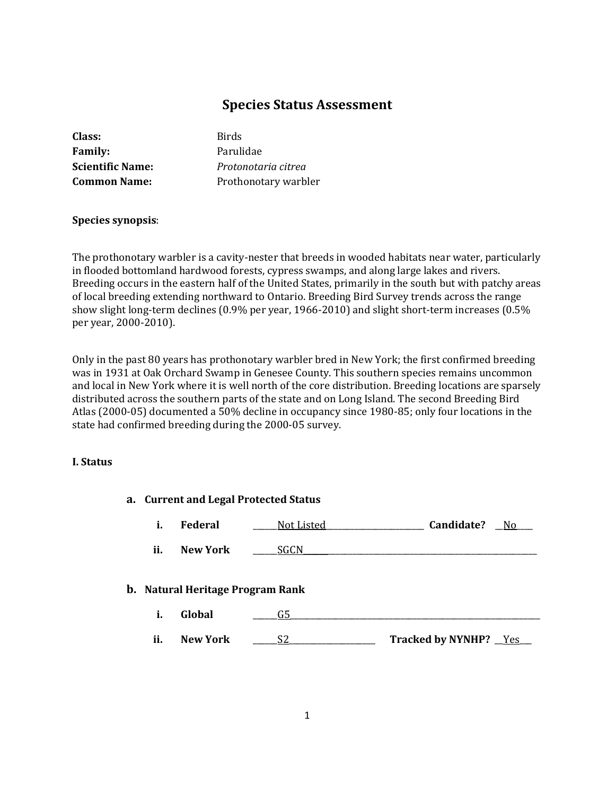# **Species Status Assessment**

| <b>Birds</b>         |
|----------------------|
| Parulidae            |
| Protonotaria citrea  |
| Prothonotary warbler |
|                      |

#### **Species synopsis**:

The prothonotary warbler is a cavity-nester that breeds in wooded habitats near water, particularly in flooded bottomland hardwood forests, cypress swamps, and along large lakes and rivers. Breeding occurs in the eastern half of the United States, primarily in the south but with patchy areas of local breeding extending northward to Ontario. Breeding Bird Survey trends across the range show slight long-term declines (0.9% per year, 1966-2010) and slight short-term increases (0.5% per year, 2000-2010).

Only in the past 80 years has prothonotary warbler bred in New York; the first confirmed breeding was in 1931 at Oak Orchard Swamp in Genesee County. This southern species remains uncommon and local in New York where it is well north of the core distribution. Breeding locations are sparsely distributed across the southern parts of the state and on Long Island. The second Breeding Bird Atlas (2000-05) documented a 50% decline in occupancy since 1980-85; only four locations in the state had confirmed breeding during the 2000-05 survey.

#### **I. Status**

| a. Current and Legal Protected Status |                                         |             |                              |  |
|---------------------------------------|-----------------------------------------|-------------|------------------------------|--|
| i.                                    | Federal                                 | Not Listed  | Candidate?<br>No.            |  |
| ii.                                   | New York                                | <b>SGCN</b> |                              |  |
|                                       | <b>b.</b> Natural Heritage Program Rank |             |                              |  |
| i.                                    | Global                                  | G5.         |                              |  |
| ii.                                   | <b>New York</b>                         | S2          | <b>Tracked by NYNHP?</b> Yes |  |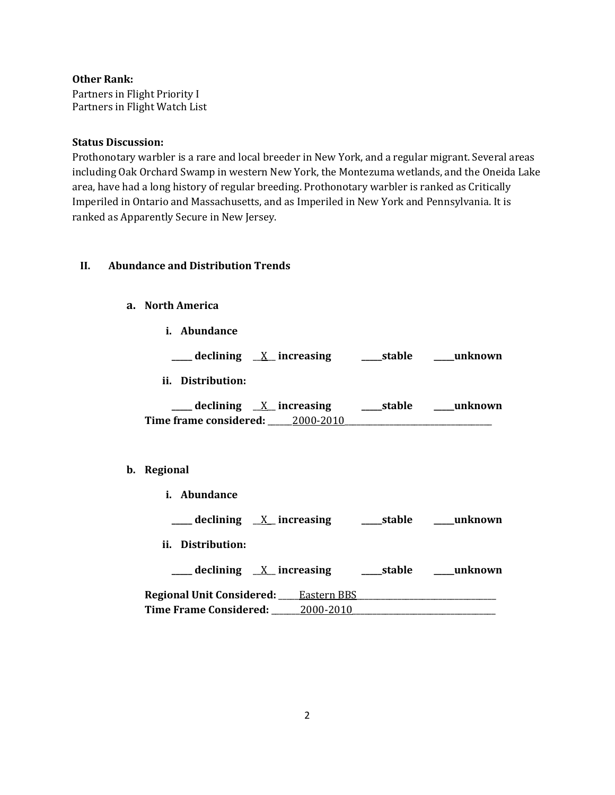### **Other Rank:**

Partners in Flight Priority I Partners in Flight Watch List

#### **Status Discussion:**

Prothonotary warbler is a rare and local breeder in New York, and a regular migrant. Several areas including Oak Orchard Swamp in western New York, the Montezuma wetlands, and the Oneida Lake area, have had a long history of regular breeding. Prothonotary warbler is ranked as Critically Imperiled in Ontario and Massachusetts, and as Imperiled in New York and Pennsylvania. It is ranked as Apparently Secure in New Jersey.

### **II. Abundance and Distribution Trends**

### **a. North America**

**i. Abundance**

**\_\_\_\_\_ declining** \_\_X\_\_ **increasing \_\_\_\_\_stable \_\_\_\_\_unknown ii. Distribution:**

| declining $X$ increasing | stable    | unknown |  |
|--------------------------|-----------|---------|--|
| Time frame considered:   | 2000-2010 |         |  |

#### **b. Regional**

| i. Abundance                                           |
|--------------------------------------------------------|
| declining $X$ increasing<br>stable<br>unknown          |
| ii. Distribution:                                      |
| $\equiv$ declining $X$ increasing<br>stable<br>unknown |
| <b>Regional Unit Considered:</b> Eastern BBS           |
| <b>Time Frame Considered:</b><br><u>2000-2010</u>      |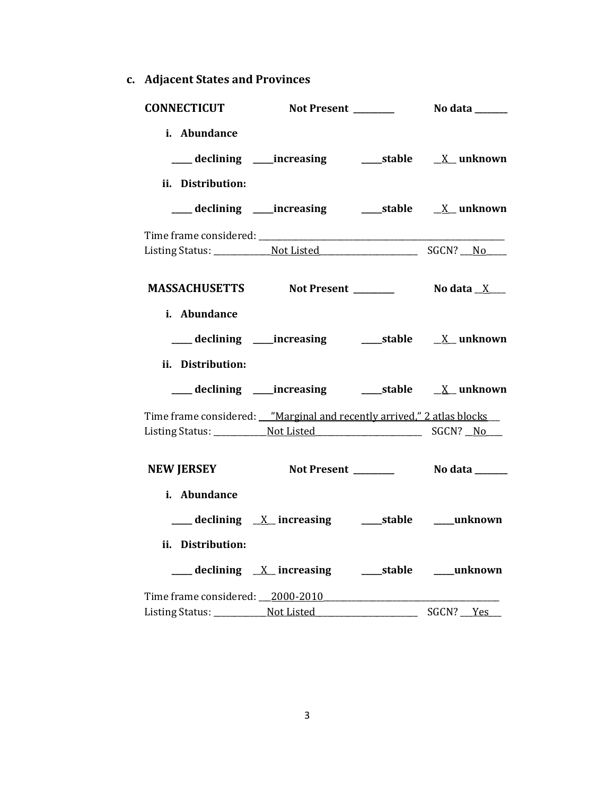**c. Adjacent States and Provinces**

|                   | CONNECTICUT Not Present ________ No data _____                        |           |
|-------------------|-----------------------------------------------------------------------|-----------|
| i. Abundance      |                                                                       |           |
| ii. Distribution: | ___ declining ____increasing ______stable ___ X__unknown              |           |
|                   |                                                                       |           |
|                   | MASSACHUSETTS Not Present _________ No data X___                      |           |
| i. Abundance      |                                                                       |           |
| ii. Distribution: |                                                                       |           |
|                   | Time frame considered: Warginal and recently arrived," 2 atlas blocks |           |
|                   | NEW JERSEY Not Present __________ No data ______                      |           |
| i. Abundance      |                                                                       |           |
| ii. Distribution: |                                                                       |           |
|                   | Time frame considered: 2000-2010<br>Listing Status: Not Listed        | SGCN? Yes |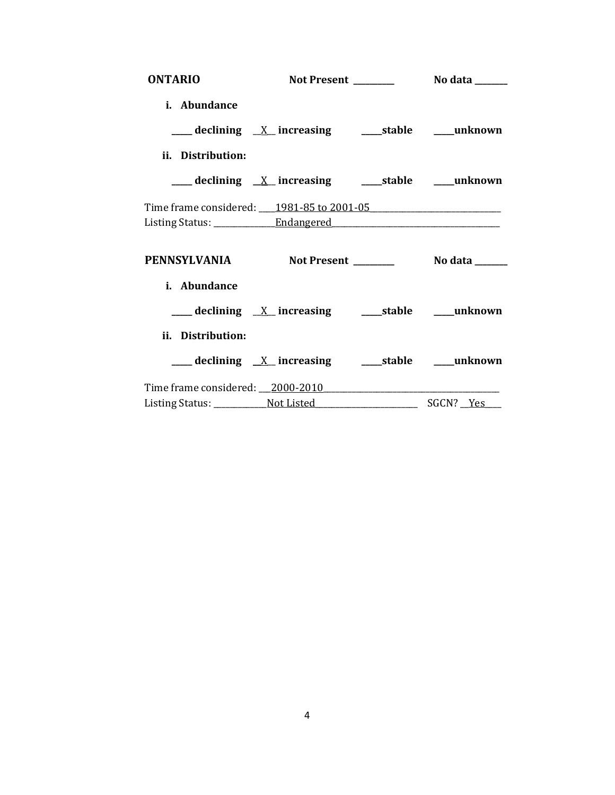| <b>ONTARIO</b>                                   |                                                            |  |
|--------------------------------------------------|------------------------------------------------------------|--|
| i. Abundance                                     |                                                            |  |
|                                                  | ___ declining <u>X</u> increasing ____ stable ____ unknown |  |
| ii. Distribution:                                |                                                            |  |
|                                                  | ___ declining _X_ increasing _______stable _____unknown    |  |
| Time frame considered: 1981-85 to 2001-05        |                                                            |  |
|                                                  |                                                            |  |
|                                                  |                                                            |  |
| PENNSYLVANIA Not Present ________ No data ______ |                                                            |  |
| i. Abundance                                     |                                                            |  |
|                                                  | ___ declining X_ increasing _______stable _____unknown     |  |
| ii. Distribution:                                |                                                            |  |
|                                                  |                                                            |  |
| Time frame considered: 2000-2010                 |                                                            |  |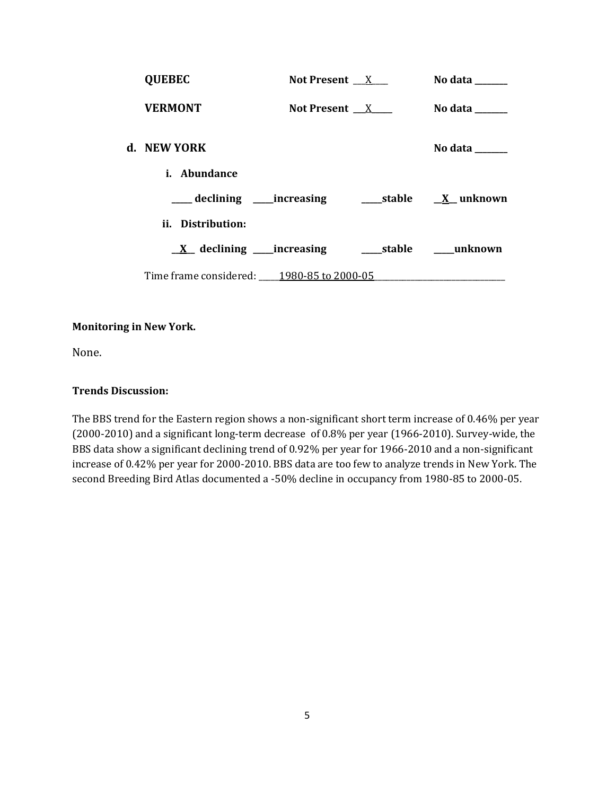| <b>QUEBEC</b>                             | Not Present X   | No data ______ |
|-------------------------------------------|-----------------|----------------|
| <b>VERMONT</b>                            | Not Present $X$ | No data ______ |
| d. NEW YORK                               |                 | No data ______ |
| <i>i.</i> Abundance                       |                 |                |
|                                           |                 |                |
| ii. Distribution:                         |                 |                |
|                                           |                 |                |
| Time frame considered: 1980-85 to 2000-05 |                 |                |

### **Monitoring in New York.**

None.

### **Trends Discussion:**

The BBS trend for the Eastern region shows a non-significant short term increase of 0.46% per year (2000-2010) and a significant long-term decrease of 0.8% per year (1966-2010). Survey-wide, the BBS data show a significant declining trend of 0.92% per year for 1966-2010 and a non-significant increase of 0.42% per year for 2000-2010. BBS data are too few to analyze trends in New York. The second Breeding Bird Atlas documented a -50% decline in occupancy from 1980-85 to 2000-05.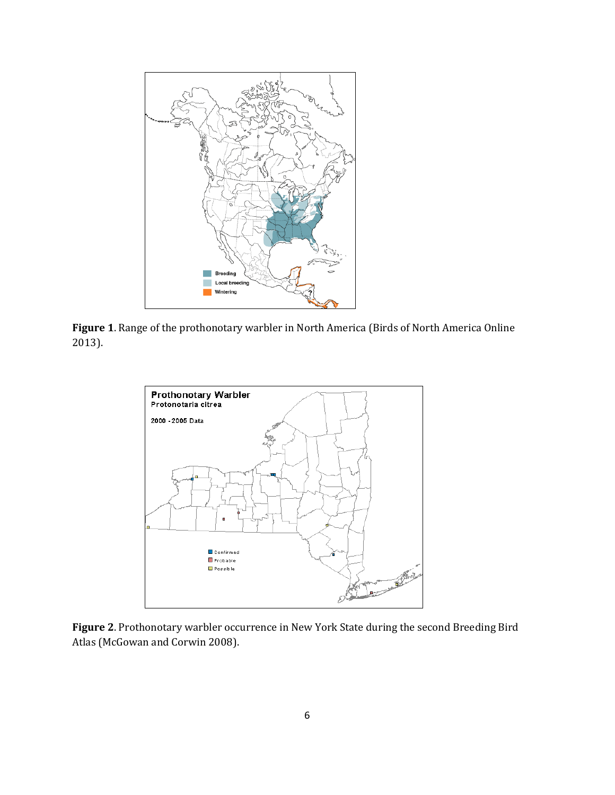

**Figure 1**. Range of the prothonotary warbler in North America (Birds of North America Online 2013).



**Figure 2**. Prothonotary warbler occurrence in New York State during the second Breeding Bird Atlas (McGowan and Corwin 2008).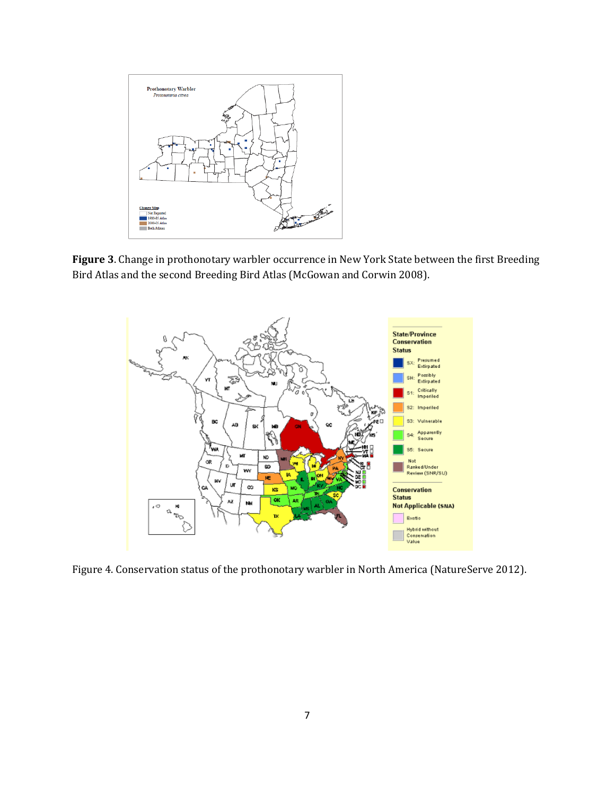

**Figure 3**. Change in prothonotary warbler occurrence in New York State between the first Breeding Bird Atlas and the second Breeding Bird Atlas (McGowan and Corwin 2008).



Figure 4. Conservation status of the prothonotary warbler in North America (NatureServe 2012).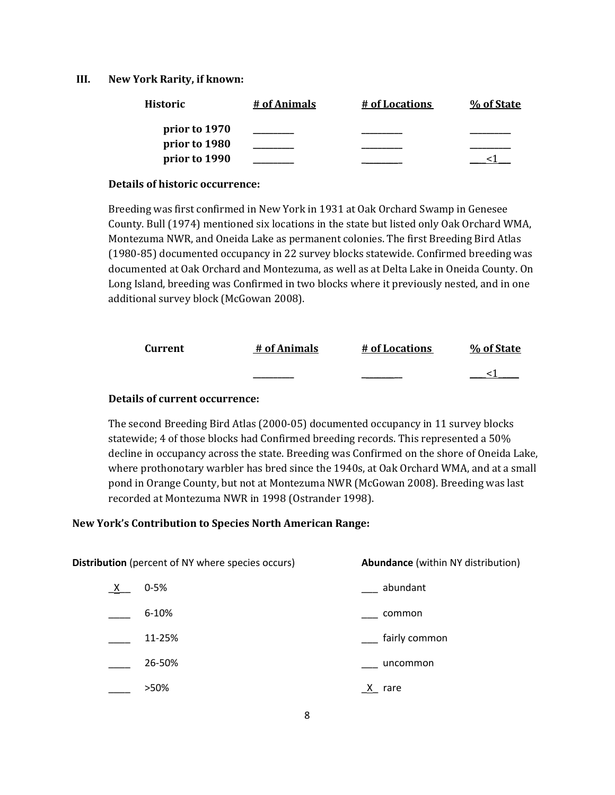#### **III. New York Rarity, if known:**

| <b>Historic</b> | # of Animals | # of Locations | % of State |
|-----------------|--------------|----------------|------------|
| prior to 1970   |              |                |            |
| prior to 1980   |              |                |            |
| prior to 1990   |              |                |            |

#### **Details of historic occurrence:**

Breeding was first confirmed in New York in 1931 at Oak Orchard Swamp in Genesee County. Bull (1974) mentioned six locations in the state but listed only Oak Orchard WMA, Montezuma NWR, and Oneida Lake as permanent colonies. The first Breeding Bird Atlas (1980-85) documented occupancy in 22 survey blocks statewide. Confirmed breeding was documented at Oak Orchard and Montezuma, as well as at Delta Lake in Oneida County. On Long Island, breeding was Confirmed in two blocks where it previously nested, and in one additional survey block (McGowan 2008).

| Current | # of Animals | # of Locations | % of State |
|---------|--------------|----------------|------------|
|         |              |                |            |

#### **Details of current occurrence:**

The second Breeding Bird Atlas (2000-05) documented occupancy in 11 survey blocks statewide; 4 of those blocks had Confirmed breeding records. This represented a 50% decline in occupancy across the state. Breeding was Confirmed on the shore of Oneida Lake, where prothonotary warbler has bred since the 1940s, at Oak Orchard WMA, and at a small pond in Orange County, but not at Montezuma NWR (McGowan 2008). Breeding was last recorded at Montezuma NWR in 1998 (Ostrander 1998).

#### **New York's Contribution to Species North American Range:**

| <b>Distribution</b> (percent of NY where species occurs) |           | <b>Abundance</b> (within NY distribution) |
|----------------------------------------------------------|-----------|-------------------------------------------|
| X —                                                      | $0 - 5%$  | abundant                                  |
|                                                          | $6 - 10%$ | common                                    |
|                                                          | 11-25%    | fairly common                             |
|                                                          | 26-50%    | uncommon                                  |
|                                                          | >50%      | rare<br>X.                                |
|                                                          |           |                                           |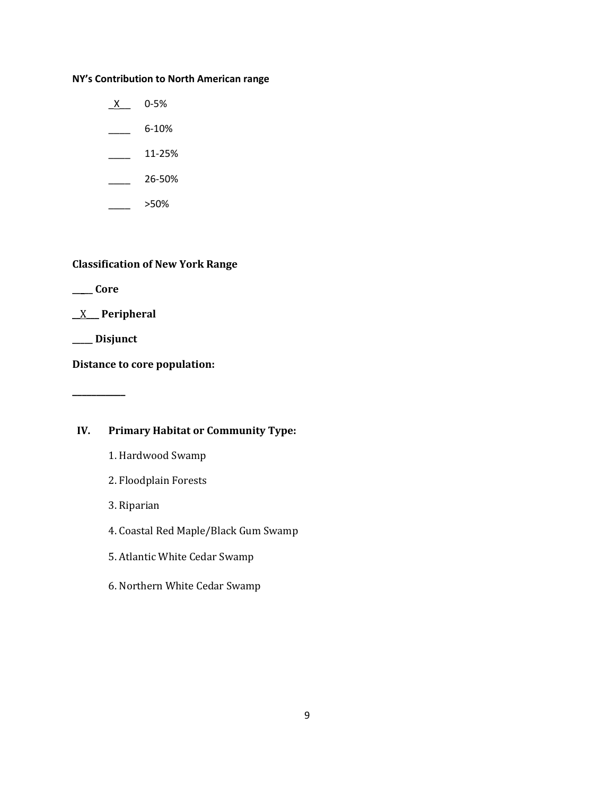### **NY's Contribution to North American range**

 $X$  0-5%  $-$  6-10%  $\frac{11-25\%}{2\%}$ 

\_\_\_\_ 26-50%

 $\frac{1}{2}$  >50%

# **Classification of New York Range**

**\_\_\_\_\_ Core**

## \_\_X\_\_\_ **Peripheral**

**\_\_\_\_\_ Disjunct**

**\_\_\_\_\_\_\_\_\_\_\_**

**Distance to core population:**

# **IV. Primary Habitat or Community Type:**

- 1. Hardwood Swamp
- 2. Floodplain Forests
- 3. Riparian
- 4. Coastal Red Maple/Black Gum Swamp
- 5. Atlantic White Cedar Swamp
- 6. Northern White Cedar Swamp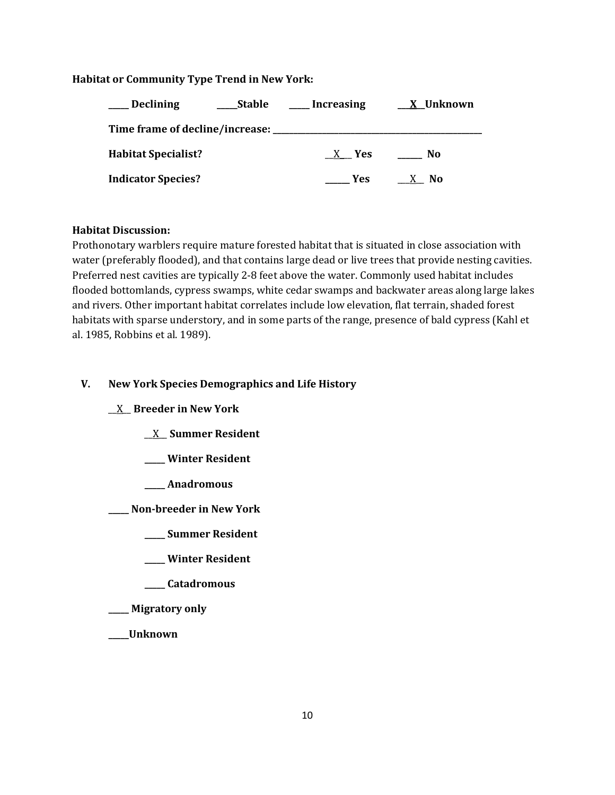### **Habitat or Community Type Trend in New York:**

| <b>Declining</b>           | Stable | Increasing | <u>X</u> Unknown |
|----------------------------|--------|------------|------------------|
|                            |        |            |                  |
| <b>Habitat Specialist?</b> |        | X Yes      | No               |
| <b>Indicator Species?</b>  |        | Yes.       | No.              |

#### **Habitat Discussion:**

Prothonotary warblers require mature forested habitat that is situated in close association with water (preferably flooded), and that contains large dead or live trees that provide nesting cavities. Preferred nest cavities are typically 2-8 feet above the water. Commonly used habitat includes flooded bottomlands, cypress swamps, white cedar swamps and backwater areas along large lakes and rivers. Other important habitat correlates include low elevation, flat terrain, shaded forest habitats with sparse understory, and in some parts of the range, presence of bald cypress (Kahl et al. 1985, Robbins et al. 1989).

## **V. New York Species Demographics and Life History**

\_\_X\_\_ **Breeder in New York**

- \_\_X\_\_ **Summer Resident**
- **\_\_\_\_\_ Winter Resident**
- **\_\_\_\_\_ Anadromous**

**\_\_\_\_\_ Non-breeder in New York**

- **\_\_\_\_\_ Summer Resident**
- **\_\_\_\_\_ Winter Resident**
- **\_\_\_\_\_ Catadromous**
- **\_\_\_\_\_ Migratory only**
- **\_\_\_\_\_Unknown**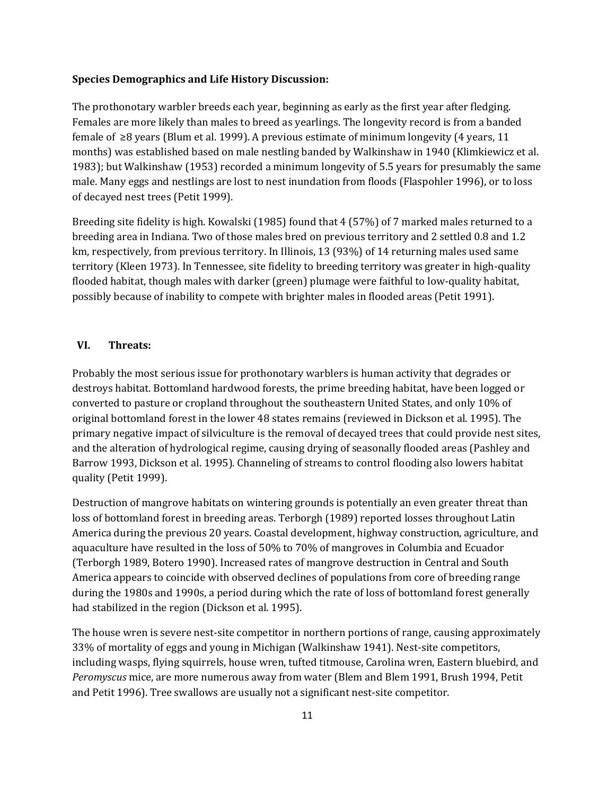#### **Species Demographics and Life History Discussion:**

The prothonotary warbler breeds each year, beginning as early as the first year after fledging. Females are more likely than males to breed as yearlings. The longevity record is from a banded female of ≥8 years (Blum et al. 1999). A previous estimate of minimum longevity (4 years, 11 months) was established based on male nestling banded by Walkinshaw in 1940 (Klimkiewicz et al. 1983); but Walkinshaw (1953) recorded a minimum longevity of 5.5 years for presumably the same male. Many eggs and nestlings are lost to nest inundation from floods (Flaspohler 1996), or to loss of decayed nest trees (Petit 1999).

Breeding site fidelity is high. Kowalski (1985) found that 4 (57%) of 7 marked males returned to a breeding area in Indiana. Two of those males bred on previous territory and 2 settled 0.8 and 1.2 km, respectively, from previous territory. In Illinois, 13 (93%) of 14 returning males used same territory (Kleen 1973). In Tennessee, site fidelity to breeding territory was greater in high-quality flooded habitat, though males with darker (green) plumage were faithful to low-quality habitat, possibly because of inability to compete with brighter males in flooded areas (Petit 1991).

#### **VI. Threats:**

Probably the most serious issue for prothonotary warblers is human activity that degrades or destroys habitat. Bottomland hardwood forests, the prime breeding habitat, have been logged or converted to pasture or cropland throughout the southeastern United States, and only 10% of original bottomland forest in the lower 48 states remains (reviewed in Dickson et al. 1995). The primary negative impact of silviculture is the removal of decayed trees that could provide nest sites, and the alteration of hydrological regime, causing drying of seasonally flooded areas (Pashley and Barrow 1993, Dickson et al. 1995). Channeling of streams to control flooding also lowers habitat quality (Petit 1999).

Destruction of mangrove habitats on wintering grounds is potentially an even greater threat than loss of bottomland forest in breeding areas. Terborgh (1989) reported losses throughout Latin America during the previous 20 years. Coastal development, highway construction, agriculture, and aquaculture have resulted in the loss of 50% to 70% of mangroves in Columbia and Ecuador (Terborgh 1989, Botero 1990). Increased rates of mangrove destruction in Central and South America appears to coincide with observed declines of populations from core of breeding range during the 1980s and 1990s, a period during which the rate of loss of bottomland forest generally had stabilized in the region (Dickson et al. 1995).

The house wren is severe nest-site competitor in northern portions of range, causing approximately 33% of mortality of eggs and young in Michigan (Walkinshaw 1941). Nest-site competitors, including wasps, flying squirrels, house wren, tufted titmouse, Carolina wren, Eastern bluebird, and *Peromyscus* mice, are more numerous away from water (Blem and Blem 1991, Brush 1994, Petit and Petit 1996). Tree swallows are usually not a significant nest-site competitor.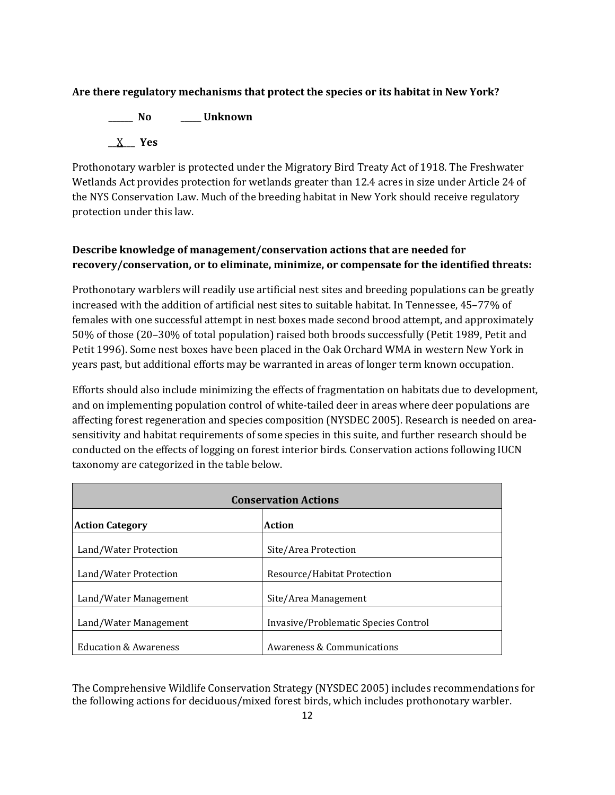## **Are there regulatory mechanisms that protect the species or its habitat in New York?**

**\_\_\_\_\_\_ No \_\_\_\_\_ Unknown**  $X$  Yes

Prothonotary warbler is protected under the Migratory Bird Treaty Act of 1918. The Freshwater Wetlands Act provides protection for wetlands greater than 12.4 acres in size under Article 24 of the NYS Conservation Law. Much of the breeding habitat in New York should receive regulatory protection under this law.

# **Describe knowledge of management/conservation actions that are needed for recovery/conservation, or to eliminate, minimize, or compensate for the identified threats:**

Prothonotary warblers will readily use artificial nest sites and breeding populations can be greatly increased with the addition of artificial nest sites to suitable habitat. In Tennessee, 45–77% of females with one successful attempt in nest boxes made second brood attempt, and approximately 50% of those (20–30% of total population) raised both broods successfully (Petit 1989, Petit and Petit 1996). Some nest boxes have been placed in the Oak Orchard WMA in western New York in years past, but additional efforts may be warranted in areas of longer term known occupation.

Efforts should also include minimizing the effects of fragmentation on habitats due to development, and on implementing population control of white-tailed deer in areas where deer populations are affecting forest regeneration and species composition (NYSDEC 2005). Research is needed on areasensitivity and habitat requirements of some species in this suite, and further research should be conducted on the effects of logging on forest interior birds. Conservation actions following IUCN taxonomy are categorized in the table below.

| <b>Conservation Actions</b>      |                                      |  |
|----------------------------------|--------------------------------------|--|
| <b>Action Category</b>           | Action                               |  |
| Land/Water Protection            | Site/Area Protection                 |  |
| Land/Water Protection            | Resource/Habitat Protection          |  |
| Land/Water Management            | Site/Area Management                 |  |
| Land/Water Management            | Invasive/Problematic Species Control |  |
| <b>Education &amp; Awareness</b> | Awareness & Communications           |  |

The Comprehensive Wildlife Conservation Strategy (NYSDEC 2005) includes recommendations for the following actions for deciduous/mixed forest birds, which includes prothonotary warbler.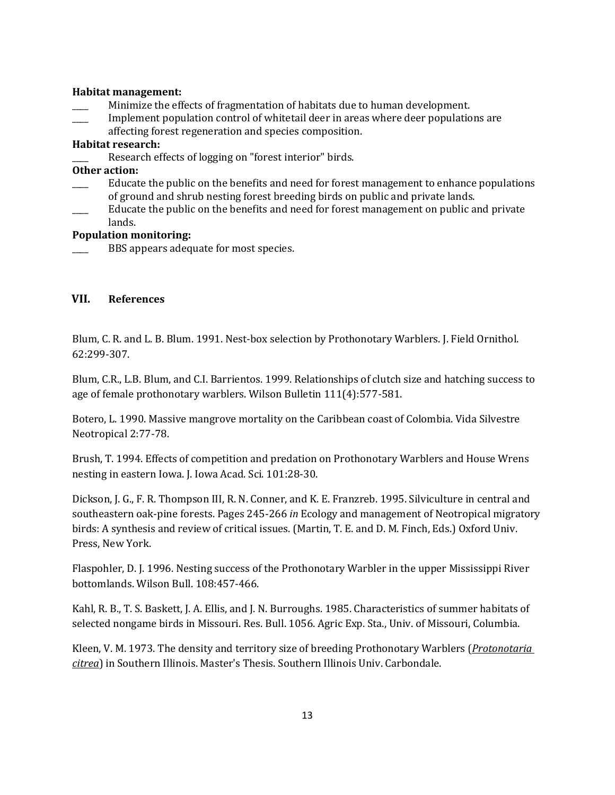#### **Habitat management:**

- \_\_\_\_ Minimize the effects of fragmentation of habitats due to human development.
- Implement population control of whitetail deer in areas where deer populations are
- affecting forest regeneration and species composition.

#### **Habitat research:**

Research effects of logging on "forest interior" birds.

## **Other action:**

- Educate the public on the benefits and need for forest management to enhance populations of ground and shrub nesting forest breeding birds on public and private lands.
- Educate the public on the benefits and need for forest management on public and private lands.

### **Population monitoring:**

BBS appears adequate for most species.

## **VII. References**

Blum, C. R. and L. B. Blum. 1991. Nest-box selection by Prothonotary Warblers. J. Field Ornithol. 62:299-307.

Blum, C.R., L.B. Blum, and C.I. Barrientos. 1999. Relationships of clutch size and hatching success to age of female prothonotary warblers. Wilson Bulletin 111(4):577-581.

Botero, L. 1990. Massive mangrove mortality on the Caribbean coast of Colombia. Vida Silvestre Neotropical 2:77-78.

Brush, T. 1994. Effects of competition and predation on Prothonotary Warblers and House Wrens nesting in eastern Iowa. J. Iowa Acad. Sci. 101:28-30.

Dickson, J. G., F. R. Thompson III, R. N. Conner, and K. E. Franzreb. 1995. Silviculture in central and southeastern oak-pine forests. Pages 245-266 *in* Ecology and management of Neotropical migratory birds: A synthesis and review of critical issues. (Martin, T. E. and D. M. Finch, Eds.) Oxford Univ. Press, New York.

Flaspohler, D. J. 1996. Nesting success of the Prothonotary Warbler in the upper Mississippi River bottomlands. Wilson Bull. 108:457-466.

Kahl, R. B., T. S. Baskett, J. A. Ellis, and J. N. Burroughs. 1985. Characteristics of summer habitats of selected nongame birds in Missouri. Res. Bull. 1056. Agric Exp. Sta., Univ. of Missouri, Columbia.

Kleen, V. M. 1973. The density and territory size of breeding Prothonotary Warblers (*Protonotaria citrea*) in Southern Illinois. Master's Thesis. Southern Illinois Univ. Carbondale.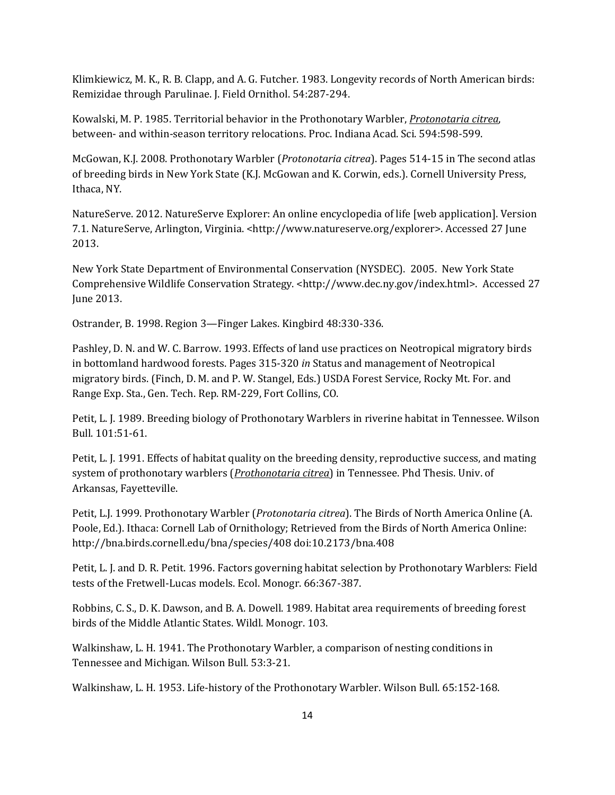Klimkiewicz, M. K., R. B. Clapp, and A. G. Futcher. 1983. Longevity records of North American birds: Remizidae through Parulinae. J. Field Ornithol. 54:287-294.

Kowalski, M. P. 1985. Territorial behavior in the Prothonotary Warbler, *Protonotaria citrea*, between- and within-season territory relocations. Proc. Indiana Acad. Sci. 594:598-599.

McGowan, K.J. 2008. Prothonotary Warbler (*Protonotaria citrea*). Pages 514-15 in The second atlas of breeding birds in New York State (K.J. McGowan and K. Corwin, eds.). Cornell University Press, Ithaca, NY.

NatureServe. 2012. NatureServe Explorer: An online encyclopedia of life [web application]. Version 7.1. NatureServe, Arlington, Virginia. <http://www.natureserve.org/explorer>. Accessed 27 June 2013.

New York State Department of Environmental Conservation (NYSDEC). 2005. New York State Comprehensive Wildlife Conservation Strategy. <http://www.dec.ny.gov/index.html>. Accessed 27 June 2013.

Ostrander, B. 1998. Region 3—Finger Lakes. Kingbird 48:330-336.

Pashley, D. N. and W. C. Barrow. 1993. Effects of land use practices on Neotropical migratory birds in bottomland hardwood forests. Pages 315-320 *in* Status and management of Neotropical migratory birds. (Finch, D. M. and P. W. Stangel, Eds.) USDA Forest Service, Rocky Mt. For. and Range Exp. Sta., Gen. Tech. Rep. RM-229, Fort Collins, CO.

Petit, L. J. 1989. Breeding biology of Prothonotary Warblers in riverine habitat in Tennessee. Wilson Bull. 101:51-61.

Petit, L. J. 1991. Effects of habitat quality on the breeding density, reproductive success, and mating system of prothonotary warblers (*Prothonotaria citrea*) in Tennessee. Phd Thesis. Univ. of Arkansas, Fayetteville.

Petit, L.J. 1999. Prothonotary Warbler (*Protonotaria citrea*). The Birds of North America Online (A. Poole, Ed.). Ithaca: Cornell Lab of Ornithology; Retrieved from the Birds of North America Online: http://bna.birds.cornell.edu/bna/species/408 doi:10.2173/bna.408

Petit, L. J. and D. R. Petit. 1996. Factors governing habitat selection by Prothonotary Warblers: Field tests of the Fretwell-Lucas models. Ecol. Monogr. 66:367-387.

Robbins, C. S., D. K. Dawson, and B. A. Dowell. 1989. Habitat area requirements of breeding forest birds of the Middle Atlantic States. Wildl. Monogr. 103.

Walkinshaw, L. H. 1941. The Prothonotary Warbler, a comparison of nesting conditions in Tennessee and Michigan. Wilson Bull. 53:3-21.

Walkinshaw, L. H. 1953. Life-history of the Prothonotary Warbler. Wilson Bull. 65:152-168.